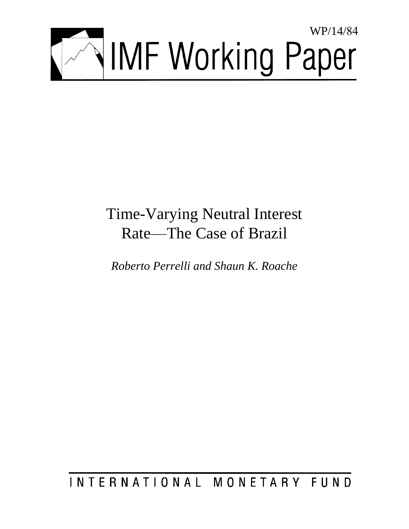

# Time-Varying Neutral Interest Rate—The Case of Brazil

*Roberto Perrelli and Shaun K. Roache* 

## INTERNATIONAL MONETARY FUND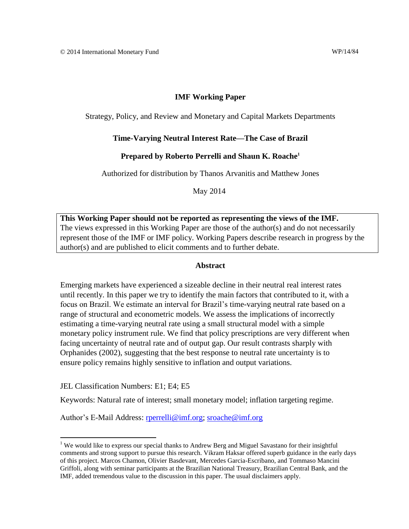#### **IMF Working Paper**

Strategy, Policy, and Review and Monetary and Capital Markets Departments

#### **Time-Varying Neutral Interest Rate—The Case of Brazil**

#### **Prepared by Roberto Perrelli and Shaun K. Roache<sup>1</sup>**

Authorized for distribution by Thanos Arvanitis and Matthew Jones

May 2014

**This Working Paper should not be reported as representing the views of the IMF.** The views expressed in this Working Paper are those of the author(s) and do not necessarily represent those of the IMF or IMF policy. Working Papers describe research in progress by the author(s) and are published to elicit comments and to further debate.

#### **Abstract**

Emerging markets have experienced a sizeable decline in their neutral real interest rates until recently. In this paper we try to identify the main factors that contributed to it, with a focus on Brazil. We estimate an interval for Brazil's time-varying neutral rate based on a range of structural and econometric models. We assess the implications of incorrectly estimating a time-varying neutral rate using a small structural model with a simple monetary policy instrument rule. We find that policy prescriptions are very different when facing uncertainty of neutral rate and of output gap. Our result contrasts sharply with Orphanides (2002), suggesting that the best response to neutral rate uncertainty is to ensure policy remains highly sensitive to inflation and output variations.

JEL Classification Numbers: E1; E4; E5

Keywords: Natural rate of interest; small monetary model; inflation targeting regime.

Author's E-Mail Address: [rperrelli@imf.org;](mailto:rperrelli@imf.org) [sroache@imf.org](mailto:sroache@imf.org)

<sup>&</sup>lt;sup>1</sup> We would like to express our special thanks to Andrew Berg and Miguel Savastano for their insightful comments and strong support to pursue this research. Vikram Haksar offered superb guidance in the early days of this project. Marcos Chamon, Olivier Basdevant, Mercedes Garcia-Escribano, and Tommaso Mancini Griffoli, along with seminar participants at the Brazilian National Treasury, Brazilian Central Bank, and the IMF, added tremendous value to the discussion in this paper. The usual disclaimers apply.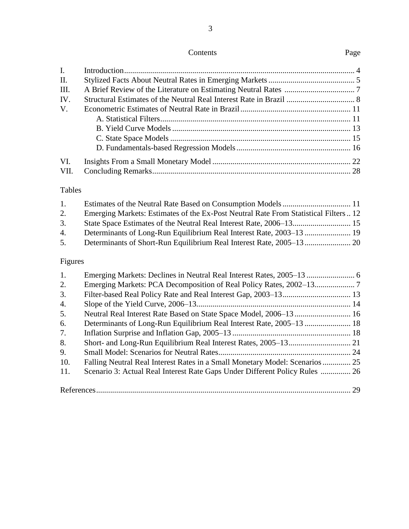| Page |  | Contents |  |  |
|------|--|----------|--|--|
|------|--|----------|--|--|

3

| I.   |  |
|------|--|
| П.   |  |
| III. |  |
| IV.  |  |
| V.   |  |
|      |  |
|      |  |
|      |  |
|      |  |
| VI.  |  |
| VII. |  |

### Tables

| $1_{\cdot}$ |                                                                                    |  |
|-------------|------------------------------------------------------------------------------------|--|
| 2.          | Emerging Markets: Estimates of the Ex-Post Neutral Rate From Statistical Filters12 |  |
| 3.          |                                                                                    |  |
| 4.          |                                                                                    |  |
| 5.          |                                                                                    |  |
|             |                                                                                    |  |

## Figures

| 1.  |                                                                              |    |
|-----|------------------------------------------------------------------------------|----|
| 2.  |                                                                              |    |
| 3.  |                                                                              |    |
| 4.  |                                                                              |    |
| 5.  |                                                                              |    |
| 6.  |                                                                              |    |
| 7.  |                                                                              |    |
| 8.  |                                                                              |    |
| 9.  |                                                                              |    |
| 10. | Falling Neutral Real Interest Rates in a Small Monetary Model: Scenarios  25 |    |
| 11. | Scenario 3: Actual Real Interest Rate Gaps Under Different Policy Rules  26  |    |
|     |                                                                              | 29 |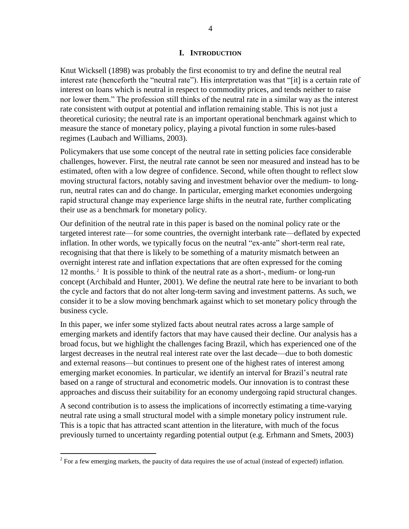#### **I. INTRODUCTION**

Knut Wicksell (1898) was probably the first economist to try and define the neutral real interest rate (henceforth the "neutral rate"). His interpretation was that "[it] is a certain rate of interest on loans which is neutral in respect to commodity prices, and tends neither to raise nor lower them." The profession still thinks of the neutral rate in a similar way as the interest rate consistent with output at potential and inflation remaining stable. This is not just a theoretical curiosity; the neutral rate is an important operational benchmark against which to measure the stance of monetary policy, playing a pivotal function in some rules-based regimes (Laubach and Williams, 2003).

Policymakers that use some concept of the neutral rate in setting policies face considerable challenges, however. First, the neutral rate cannot be seen nor measured and instead has to be estimated, often with a low degree of confidence. Second, while often thought to reflect slow moving structural factors, notably saving and investment behavior over the medium- to longrun, neutral rates can and do change. In particular, emerging market economies undergoing rapid structural change may experience large shifts in the neutral rate, further complicating their use as a benchmark for monetary policy.

Our definition of the neutral rate in this paper is based on the nominal policy rate or the targeted interest rate—for some countries, the overnight interbank rate—deflated by expected inflation. In other words, we typically focus on the neutral "ex-ante" short-term real rate, recognising that that there is likely to be something of a maturity mismatch between an overnight interest rate and inflation expectations that are often expressed for the coming 12 months.<sup>2</sup> It is possible to think of the neutral rate as a short-, medium- or long-run concept (Archibald and Hunter, 2001). We define the neutral rate here to be invariant to both the cycle and factors that do not alter long-term saving and investment patterns. As such, we consider it to be a slow moving benchmark against which to set monetary policy through the business cycle.

In this paper, we infer some stylized facts about neutral rates across a large sample of emerging markets and identify factors that may have caused their decline. Our analysis has a broad focus, but we highlight the challenges facing Brazil, which has experienced one of the largest decreases in the neutral real interest rate over the last decade—due to both domestic and external reasons—but continues to present one of the highest rates of interest among emerging market economies. In particular, we identify an interval for Brazil's neutral rate based on a range of structural and econometric models. Our innovation is to contrast these approaches and discuss their suitability for an economy undergoing rapid structural changes.

A second contribution is to assess the implications of incorrectly estimating a time-varying neutral rate using a small structural model with a simple monetary policy instrument rule. This is a topic that has attracted scant attention in the literature, with much of the focus previously turned to uncertainty regarding potential output (e.g. Erhmann and Smets, 2003)

 $2^2$  For a few emerging markets, the paucity of data requires the use of actual (instead of expected) inflation.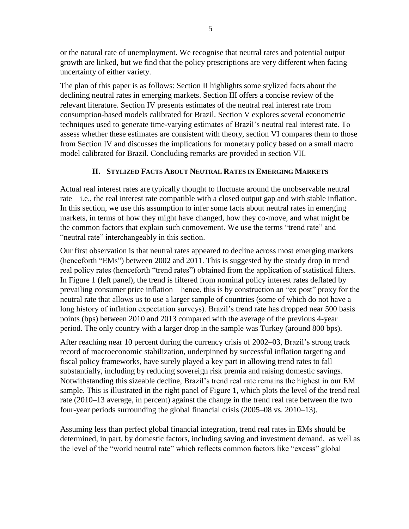or the natural rate of unemployment. We recognise that neutral rates and potential output growth are linked, but we find that the policy prescriptions are very different when facing uncertainty of either variety.

The plan of this paper is as follows: Section II highlights some stylized facts about the declining neutral rates in emerging markets. Section III offers a concise review of the relevant literature. Section IV presents estimates of the neutral real interest rate from consumption-based models calibrated for Brazil. Section V explores several econometric techniques used to generate time-varying estimates of Brazil's neutral real interest rate. To assess whether these estimates are consistent with theory, section VI compares them to those from Section IV and discusses the implications for monetary policy based on a small macro model calibrated for Brazil. Concluding remarks are provided in section VII.

#### **II. STYLIZED FACTS ABOUT NEUTRAL RATES IN EMERGING MARKETS**

Actual real interest rates are typically thought to fluctuate around the unobservable neutral rate—i.e., the real interest rate compatible with a closed output gap and with stable inflation. In this section, we use this assumption to infer some facts about neutral rates in emerging markets, in terms of how they might have changed, how they co-move, and what might be the common factors that explain such comovement. We use the terms "trend rate" and "neutral rate" interchangeably in this section.

Our first observation is that neutral rates appeared to decline across most emerging markets (henceforth "EMs") between 2002 and 2011. This is suggested by the steady drop in trend real policy rates (henceforth "trend rates") obtained from the application of statistical filters. In Figure 1 (left panel), the trend is filtered from nominal policy interest rates deflated by prevailing consumer price inflation—hence, this is by construction an "ex post" proxy for the neutral rate that allows us to use a larger sample of countries (some of which do not have a long history of inflation expectation surveys). Brazil's trend rate has dropped near 500 basis points (bps) between 2010 and 2013 compared with the average of the previous 4-year period. The only country with a larger drop in the sample was Turkey (around 800 bps).

After reaching near 10 percent during the currency crisis of 2002–03, Brazil's strong track record of macroeconomic stabilization, underpinned by successful inflation targeting and fiscal policy frameworks, have surely played a key part in allowing trend rates to fall substantially, including by reducing sovereign risk premia and raising domestic savings. Notwithstanding this sizeable decline, Brazil's trend real rate remains the highest in our EM sample. This is illustrated in the right panel of Figure 1, which plots the level of the trend real rate (2010–13 average, in percent) against the change in the trend real rate between the two four-year periods surrounding the global financial crisis (2005–08 vs. 2010–13).

Assuming less than perfect global financial integration, trend real rates in EMs should be determined, in part, by domestic factors, including saving and investment demand, as well as the level of the "world neutral rate" which reflects common factors like "excess" global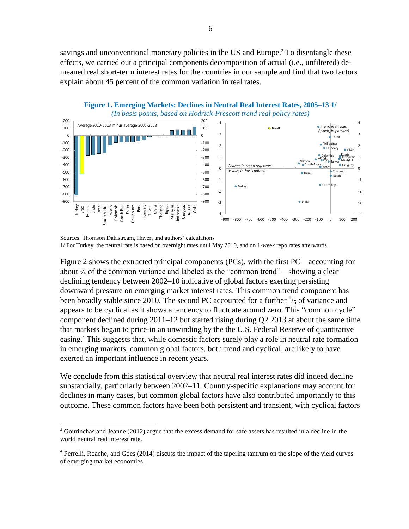savings and unconventional monetary policies in the US and Europe.<sup>3</sup> To disentangle these effects, we carried out a principal components decomposition of actual (i.e., unfiltered) demeaned real short-term interest rates for the countries in our sample and find that two factors explain about 45 percent of the common variation in real rates.



-900 -800

-4 -3 -2

 $\bullet$  India

-900 -800 -700 -600 -500 -400 -300 -200 -100 0 100 200

-4 -3 -2 -1

**Figure 1. Emerging Markets: Declines in Neutral Real Interest Rates, 2005–13 1/**

Turkey Brazil Mexico India Israel South Africa Poland Colombia Calculation Colombia Calculation Philippines Peru Hungary Taiwan China Thailand Egypt Malaysia India Thailand Egypt Malaysia India Thailand Egypt Malaysia Indi

Figure 2 shows the extracted principal components (PCs), with the first PC—accounting for about ¼ of the common variance and labeled as the "common trend"—showing a clear declining tendency between 2002–10 indicative of global factors exerting persisting downward pressure on emerging market interest rates. This common trend component has been broadly stable since 2010. The second PC accounted for a further  $\frac{1}{5}$  of variance and appears to be cyclical as it shows a tendency to fluctuate around zero. This "common cycle" component declined during 2011–12 but started rising during Q2 2013 at about the same time that markets began to price-in an unwinding by the the U.S. Federal Reserve of quantitative easing. <sup>4</sup> This suggests that, while domestic factors surely play a role in neutral rate formation in emerging markets, common global factors, both trend and cyclical, are likely to have exerted an important influence in recent years.

We conclude from this statistical overview that neutral real interest rates did indeed decline substantially, particularly between 2002–11. Country-specific explanations may account for declines in many cases, but common global factors have also contributed importantly to this outcome. These common factors have been both persistent and transient, with cyclical factors

 $\overline{a}$ 

-900 -800

Sources: Thomson Datastream, Haver, and authors' calculations 1/ For Turkey, the neutral rate is based on overnight rates until May 2010, and on 1-week repo rates afterwards.

<sup>&</sup>lt;sup>3</sup> Gourinchas and Jeanne (2012) argue that the excess demand for safe assets has resulted in a decline in the world neutral real interest rate.

<sup>&</sup>lt;sup>4</sup> Perrelli, Roache, and Góes (2014) discuss the impact of the tapering tantrum on the slope of the yield curves of emerging market economies.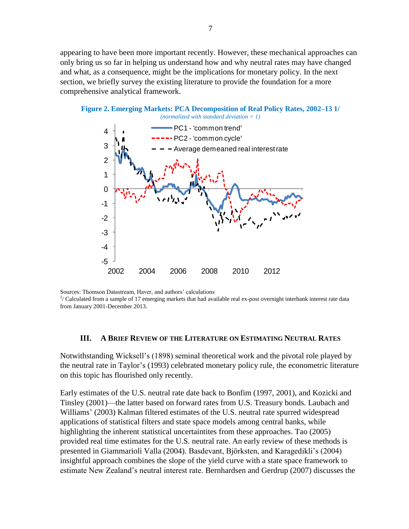appearing to have been more important recently. However, these mechanical approaches can only bring us so far in helping us understand how and why neutral rates may have changed and what, as a consequence, might be the implications for monetary policy. In the next section, we briefly survey the existing literature to provide the foundation for a more comprehensive analytical framework.



Sources: Thomson Datastream, Haver, and authors' calculations

Sources. Thomson Datastream, Haver, and authors calculations<br><sup>1</sup>/ Calculated from a sample of 17 emerging markets that had available real ex-post overnight interbank interest rate data from January 2001-December 2013.  $\frac{1}{2}$ lable real interest rate data from January 2013.

#### **III. A BRIEF REVIEW OF THE LITERATURE ON ESTIMATING NEUTRAL RATES**

Notwithstanding Wicksell's (1898) seminal theoretical work and the pivotal role played by the neutral rate in Taylor's (1993) celebrated monetary policy rule, the econometric literature on this topic has flourished only recently.

Early estimates of the U.S. neutral rate date back to Bonfim (1997, 2001), and Kozicki and Tinsley (2001)—the latter based on forward rates from U.S. Treasury bonds. Laubach and Williams' (2003) Kalman filtered estimates of the U.S. neutral rate spurred widespread applications of statistical filters and state space models among central banks, while highlighting the inherent statistical uncertaintites from these approaches. Tao (2005) provided real time estimates for the U.S. neutral rate. An early review of these methods is presented in Giammarioli Valla (2004). Basdevant, Björksten, and Karagedikli's (2004) insightful approach combines the slope of the yield curve with a state space framework to estimate New Zealand's neutral interest rate. Bernhardsen and Gerdrup (2007) discusses the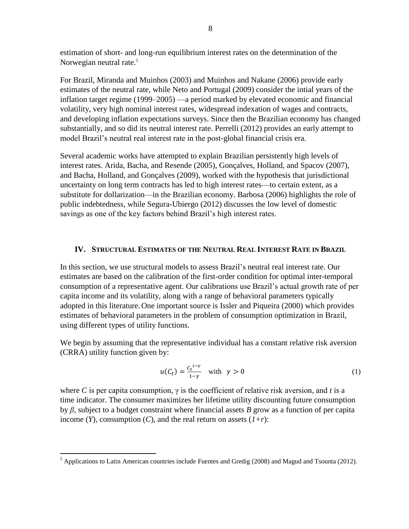estimation of short- and long-run equilibrium interest rates on the determination of the Norwegian neutral rate.<sup>5</sup>

For Brazil, Miranda and Muinhos (2003) and Muinhos and Nakane (2006) provide early estimates of the neutral rate, while Neto and Portugal (2009) consider the intial years of the inflation target regime (1999–2005) —a period marked by elevated economic and financial volatility, very high nominal interest rates, widespread indexation of wages and contracts, and developing inflation expectations surveys. Since then the Brazilian economy has changed substantially, and so did its neutral interest rate. Perrelli (2012) provides an early attempt to model Brazil's neutral real interest rate in the post-global financial crisis era.

Several academic works have attempted to explain Brazilian persistently high levels of interest rates. Arida, Bacha, and Resende (2005), Gonçalves, Holland, and Spacov (2007), and Bacha, Holland, and Gonçalves (2009), worked with the hypothesis that jurisdictional uncertainty on long term contracts has led to high interest rates—to certain extent, as a substitute for dollarization—in the Brazilian economy. Barbosa (2006) highlights the role of public indebtedness, while Segura-Ubiergo (2012) discusses the low level of domestic savings as one of the key factors behind Brazil's high interest rates.

#### **IV. STRUCTURAL ESTIMATES OF THE NEUTRAL REAL INTEREST RATE IN BRAZIL**

In this section, we use structural models to assess Brazil's neutral real interest rate. Our estimates are based on the calibration of the first-order condition for optimal inter-temporal consumption of a representative agent. Our calibrations use Brazil's actual growth rate of per capita income and its volatility, along with a range of behavioral parameters typically adopted in this literature.One important source is Issler and Piqueira (2000) which provides estimates of behavioral parameters in the problem of consumption optimization in Brazil, using different types of utility functions.

We begin by assuming that the representative individual has a constant relative risk aversion (CRRA) utility function given by:

$$
u(C_t) = \frac{C_t^{1-\gamma}}{1-\gamma} \quad \text{with} \quad \gamma > 0 \tag{1}
$$

where *C* is per capita consumption,  $\gamma$  is the coefficient of relative risk aversion, and *t* is a time indicator. The consumer maximizes her lifetime utility discounting future consumption by *β*, subject to a budget constraint where financial assets *B* grow as a function of per capita income  $(Y)$ , consumption  $(C)$ , and the real return on assets  $(I+r)$ :

 $<sup>5</sup>$  Applications to Latin American countries include Fuentes and Gredig (2008) and Magud and Tsounta (2012).</sup>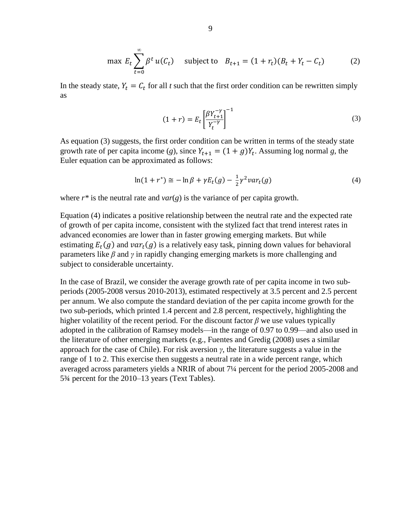$$
\max E_t \sum_{t=0}^{\infty} \beta^t u(C_t) \quad \text{subject to} \quad B_{t+1} = (1 + r_t)(B_t + Y_t - C_t) \tag{2}
$$

In the steady state,  $Y_t = C_t$  for all *t* such that the first order condition can be rewritten simply as

$$
(1+r) = E_t \left[ \frac{\beta Y_{t+1}^{-\gamma}}{Y_t^{-\gamma}} \right]^{-1} \tag{3}
$$

As equation (3) suggests, the first order condition can be written in terms of the steady state growth rate of per capita income (g), since  $Y_{t+1} = (1 + g)Y_t$ . Assuming log normal g, the Euler equation can be approximated as follows:

$$
\ln(1+r^*) \cong -\ln\beta + \gamma E_t(g) - \frac{1}{2}\gamma^2 \nu a r_t(g) \tag{4}
$$

where  $r^*$  is the neutral rate and  $var(g)$  is the variance of per capita growth.

Equation (4) indicates a positive relationship between the neutral rate and the expected rate of growth of per capita income, consistent with the stylized fact that trend interest rates in advanced economies are lower than in faster growing emerging markets. But while estimating  $E_t(g)$  and  $var_t(g)$  is a relatively easy task, pinning down values for behavioral parameters like *β* and *γ* in rapidly changing emerging markets is more challenging and subject to considerable uncertainty.

In the case of Brazil, we consider the average growth rate of per capita income in two subperiods (2005-2008 versus 2010-2013), estimated respectively at 3.5 percent and 2.5 percent per annum. We also compute the standard deviation of the per capita income growth for the two sub-periods, which printed 1.4 percent and 2.8 percent, respectively, highlighting the higher volatility of the recent period. For the discount factor  $\beta$  we use values typically adopted in the calibration of Ramsey models—in the range of 0.97 to 0.99—and also used in the literature of other emerging markets (e.g., Fuentes and Gredig (2008) uses a similar approach for the case of Chile). For risk aversion  $\gamma$ , the literature suggests a value in the range of 1 to 2. This exercise then suggests a neutral rate in a wide percent range, which averaged across parameters yields a NRIR of about 7¼ percent for the period 2005-2008 and 5¾ percent for the 2010–13 years (Text Tables).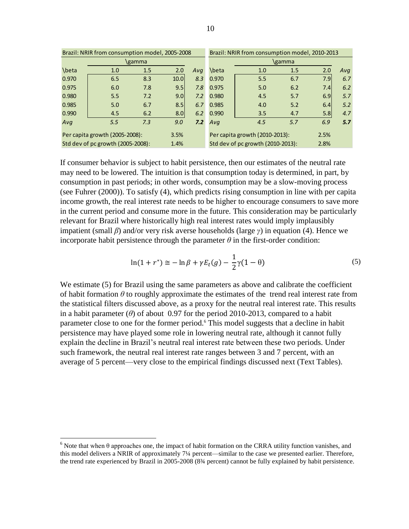| Brazil: NRIR from consumption model, 2005-2008 |                                |      |                  |     |                                   | Brazil: NRIR from consumption model, 2010-2013 |        |      |     |
|------------------------------------------------|--------------------------------|------|------------------|-----|-----------------------------------|------------------------------------------------|--------|------|-----|
| \gamma                                         |                                |      |                  |     |                                   |                                                | \gamma |      |     |
| \beta                                          | 1.0                            | 1.5  | 2.0              | Ava | \beta                             | 1.0                                            | 1.5    | 2.0  | Ava |
| 0.970                                          | 6.5                            | 8.3  | 10.0             | 8.3 | 0.970                             | 5.5                                            | 6.7    | 7.9  | 6.7 |
| 0.975                                          | 6.0                            | 7.8  | 9.5              | 7.8 | 0.975                             | 5.0                                            | 6.2    | 7.4  | 6.2 |
| 0.980                                          | 5.5                            | 7.2  | 9.0 <sub>l</sub> | 7.2 | 0.980                             | 4.5                                            | 5.7    | 6.9  | 5.7 |
| 0.985                                          | 5.0                            | 6.7  | 8.5              | 6.7 | 0.985                             | 4.0                                            | 5.2    | 6.4  | 5.2 |
| 0.990                                          | 4.5                            | 6.2  | 8.0              | 6.2 | 0.990                             | 3.5                                            | 4.7    | 5.8  | 4.7 |
| Ava                                            | 5.5                            | 7.3  | 9.0              | 7.2 | Ava                               | 4.5                                            | 5.7    | 6.9  | 5.7 |
|                                                | Per capita growth (2005-2008): |      | 3.5%             |     |                                   | Per capita growth (2010-2013):                 |        | 2.5% |     |
| Std dev of pc growth (2005-2008):              |                                | 1.4% |                  |     | Std dev of pc growth (2010-2013): |                                                | 2.8%   |      |     |

If consumer behavior is subject to habit persistence, then our estimates of the neutral rate may need to be lowered. The intuition is that consumption today is determined, in part, by consumption in past periods; in other words, consumption may be a slow-moving process (see Fuhrer (2000)). To satisfy (4), which predicts rising consumption in line with per capita income growth, the real interest rate needs to be higher to encourage consumers to save more in the current period and consume more in the future. This consideration may be particularly relevant for Brazil where historically high real interest rates would imply implausibly impatient (small *β*) and/or very risk averse households (large *γ*) in equation (4). Hence we incorporate habit persistence through the parameter  $\theta$  in the first-order condition:

$$
\ln(1+r^*) \approx -\ln\beta + \gamma E_t(g) - \frac{1}{2}\gamma(1-\theta)
$$
\n(5)

We estimate (5) for Brazil using the same parameters as above and calibrate the coefficient of habit formation  $\theta$  to roughly approximate the estimates of the trend real interest rate from the statistical filters discussed above, as a proxy for the neutral real interest rate. This results in a habit parameter  $(\theta)$  of about 0.97 for the period 2010-2013, compared to a habit parameter close to one for the former period.<sup>6</sup> This model suggests that a decline in habit persistence may have played some role in lowering neutral rate, although it cannot fully explain the decline in Brazil's neutral real interest rate between these two periods. Under such framework, the neutral real interest rate ranges between 3 and 7 percent, with an average of 5 percent—very close to the empirical findings discussed next (Text Tables).

 $6$  Note that when  $\theta$  approaches one, the impact of habit formation on the CRRA utility function vanishes, and this model delivers a NRIR of approximately 7¼ percent—similar to the case we presented earlier. Therefore, the trend rate experienced by Brazil in 2005-2008 (8¾ percent) cannot be fully explained by habit persistence.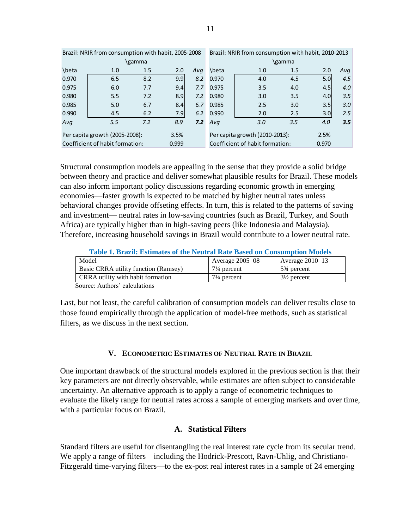| Brazil: NRIR from consumption with habit, 2005-2008 |                                |        |       |     | Brazil: NRIR from consumption with habit, 2010-2013 |                                |        |       |     |
|-----------------------------------------------------|--------------------------------|--------|-------|-----|-----------------------------------------------------|--------------------------------|--------|-------|-----|
|                                                     |                                | \gamma |       |     |                                                     |                                | \gamma |       |     |
| \beta                                               | 1.0                            | 1.5    | 2.0   | Ava | \beta                                               | 1.0                            | 1.5    | 2.0   | Avq |
| 0.970                                               | 6.5                            | 8.2    | 9.9   | 8.2 | 0.970                                               | 4.0                            | 4.5    | 5.0   | 4.5 |
| 0.975                                               | 6.0                            | 7.7    | 9.41  | 7.7 | 0.975                                               | 3.5                            | 4.0    | 4.5   | 4.0 |
| 0.980                                               | 5.5                            | 7.2    | 8.9   | 7.2 | 0.980                                               | 3.0                            | 3.5    | 4.0   | 3.5 |
| 0.985                                               | 5.0                            | 6.7    | 8.4   | 6.7 | 0.985                                               | 2.5                            | 3.0    | 3.5   | 3.0 |
| 0.990                                               | 4.5                            | 6.2    | 7.9   | 6.2 | 0.990                                               | 2.0                            | 2.5    | 3.0   | 2.5 |
| Ava                                                 | 5.5                            | 7.2    | 8.9   | 7.2 | Ava                                                 | 3.0                            | 3.5    | 4.0   | 3.5 |
|                                                     | Per capita growth (2005-2008): |        | 3.5%  |     |                                                     | Per capita growth (2010-2013): |        | 2.5%  |     |
| Coefficient of habit formation:                     |                                |        | 0.999 |     | Coefficient of habit formation:                     |                                |        | 0.970 |     |

Structural consumption models are appealing in the sense that they provide a solid bridge between theory and practice and deliver somewhat plausible results for Brazil. These models can also inform important policy discussions regarding economic growth in emerging economies—faster growth is expected to be matched by higher neutral rates unless behavioral changes provide offseting effects. In turn, this is related to the patterns of saving and investment— neutral rates in low-saving countries (such as Brazil, Turkey, and South Africa) are typically higher than in high-saving peers (like Indonesia and Malaysia). Therefore, increasing household savings in Brazil would contribute to a lower neutral rate.

**Table 1. Brazil: Estimates of the Neutral Rate Based on Consumption Models**

| Model                                | Average $2005-08$      | Average $2010-13$                     |
|--------------------------------------|------------------------|---------------------------------------|
| Basic CRRA utility function (Ramsey) | $7\frac{1}{4}$ percent | 5 <sup>3</sup> / <sub>4</sub> percent |
| CRRA utility with habit formation    | $7\frac{1}{4}$ percent | $3\frac{1}{2}$ percent                |
|                                      |                        |                                       |

Source: Authors' calculations

Last, but not least, the careful calibration of consumption models can deliver results close to those found empirically through the application of model-free methods, such as statistical filters, as we discuss in the next section.

#### **V. ECONOMETRIC ESTIMATES OF NEUTRAL RATE IN BRAZIL**

One important drawback of the structural models explored in the previous section is that their key parameters are not directly observable, while estimates are often subject to considerable uncertainty. An alternative approach is to apply a range of econometric techniques to evaluate the likely range for neutral rates across a sample of emerging markets and over time, with a particular focus on Brazil.

#### **A. Statistical Filters**

Standard filters are useful for disentangling the real interest rate cycle from its secular trend. We apply a range of filters—including the Hodrick-Prescott, Ravn-Uhlig, and Christiano-Fitzgerald time-varying filters—to the ex-post real interest rates in a sample of 24 emerging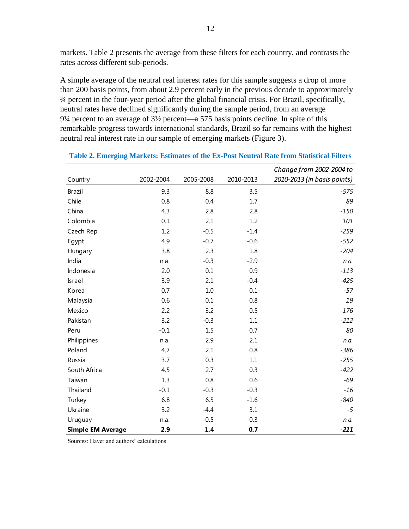markets. Table 2 presents the average from these filters for each country, and contrasts the rates across different sub-periods.

A simple average of the neutral real interest rates for this sample suggests a drop of more than 200 basis points, from about 2.9 percent early in the previous decade to approximately ¾ percent in the four-year period after the global financial crisis. For Brazil, specifically, neutral rates have declined significantly during the sample period, from an average 9¼ percent to an average of 3½ percent—a 575 basis points decline. In spite of this remarkable progress towards international standards, Brazil so far remains with the highest neutral real interest rate in our sample of emerging markets (Figure 3).

|                          |           |           |           | Change from 2002-2004 to    |
|--------------------------|-----------|-----------|-----------|-----------------------------|
| Country                  | 2002-2004 | 2005-2008 | 2010-2013 | 2010-2013 (in basis points) |
| <b>Brazil</b>            | 9.3       | 8.8       | 3.5       | $-575$                      |
| Chile                    | 0.8       | 0.4       | 1.7       | 89                          |
| China                    | 4.3       | 2.8       | 2.8       | $-150$                      |
| Colombia                 | 0.1       | 2.1       | 1.2       | 101                         |
| Czech Rep                | 1.2       | $-0.5$    | $-1.4$    | $-259$                      |
| Egypt                    | 4.9       | $-0.7$    | $-0.6$    | $-552$                      |
| Hungary                  | 3.8       | 2.3       | 1.8       | $-204$                      |
| India                    | n.a.      | $-0.3$    | $-2.9$    | n.a.                        |
| Indonesia                | 2.0       | 0.1       | 0.9       | $-113$                      |
| Israel                   | 3.9       | 2.1       | $-0.4$    | $-425$                      |
| Korea                    | 0.7       | $1.0$     | 0.1       | $-57$                       |
| Malaysia                 | 0.6       | 0.1       | 0.8       | 19                          |
| Mexico                   | 2.2       | 3.2       | 0.5       | $-176$                      |
| Pakistan                 | 3.2       | $-0.3$    | $1.1\,$   | $-212$                      |
| Peru                     | $-0.1$    | 1.5       | 0.7       | 80                          |
| Philippines              | n.a.      | 2.9       | 2.1       | n.a.                        |
| Poland                   | 4.7       | 2.1       | 0.8       | $-386$                      |
| Russia                   | 3.7       | 0.3       | 1.1       | $-255$                      |
| South Africa             | 4.5       | 2.7       | 0.3       | $-422$                      |
| Taiwan                   | 1.3       | 0.8       | 0.6       | $-69$                       |
| Thailand                 | $-0.1$    | $-0.3$    | $-0.3$    | $-16$                       |
| Turkey                   | 6.8       | 6.5       | $-1.6$    | $-840$                      |
| Ukraine                  | 3.2       | $-4.4$    | 3.1       | $-5$                        |
| Uruguay                  | n.a.      | $-0.5$    | 0.3       | n.a.                        |
| <b>Simple EM Average</b> | 2.9       | 1.4       | 0.7       | $-211$                      |

| Table 2. Emerging Markets: Estimates of the Ex-Post Neutral Rate from Statistical Filters |  |  |  |  |
|-------------------------------------------------------------------------------------------|--|--|--|--|
|-------------------------------------------------------------------------------------------|--|--|--|--|

Sources: Haver and authors' calculations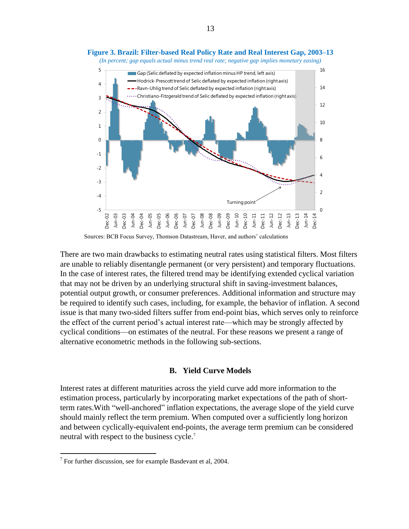

**Figure 3. Brazil: Filter-based Real Policy Rate and Real Interest Gap, 2003–13**

Sources: BCB Focus Survey, Thomson Datastream, Haver, and authors' calculations

There are two main drawbacks to estimating neutral rates using statistical filters. Most filters are unable to reliably disentangle permanent (or very persistent) and temporary fluctuations. In the case of interest rates, the filtered trend may be identifying extended cyclical variation that may not be driven by an underlying structural shift in saving-investment balances, potential output growth, or consumer preferences. Additional information and structure may be required to identify such cases, including, for example, the behavior of inflation. A second issue is that many two-sided filters suffer from end-point bias, which serves only to reinforce the effect of the current period's actual interest rate—which may be strongly affected by cyclical conditions—on estimates of the neutral. For these reasons we present a range of alternative econometric methods in the following sub-sections.

#### **B. Yield Curve Models**

Interest rates at different maturities across the yield curve add more information to the estimation process, particularly by incorporating market expectations of the path of shortterm rates.With "well-anchored" inflation expectations, the average slope of the yield curve should mainly reflect the term premium. When computed over a sufficiently long horizon and between cyclically-equivalent end-points, the average term premium can be considered neutral with respect to the business cycle. 7

 $7$  For further discussion, see for example Basdevant et al, 2004.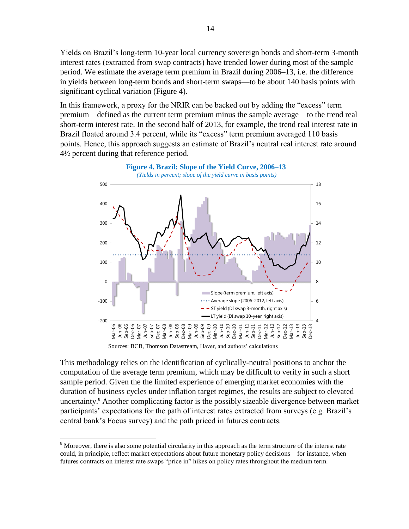Yields on Brazil's long-term 10-year local currency sovereign bonds and short-term 3-month interest rates (extracted from swap contracts) have trended lower during most of the sample period. We estimate the average term premium in Brazil during 2006–13, i.e. the difference in yields between long-term bonds and short-term swaps—to be about 140 basis points with significant cyclical variation (Figure 4).

In this framework, a proxy for the NRIR can be backed out by adding the "excess" term premium—defined as the current term premium minus the sample average—to the trend real short-term interest rate. In the second half of 2013, for example, the trend real interest rate in Brazil floated around 3.4 percent, while its "excess" term premium averaged 110 basis points. Hence, this approach suggests an estimate of Brazil's neutral real interest rate around 4½ percent during that reference period.



Sources: BCB, Thomson Datastream, Haver, and authors' calculations

This methodology relies on the identification of cyclically-neutral positions to anchor the computation of the average term premium, which may be difficult to verify in such a short sample period. Given the the limited experience of emerging market economies with the duration of business cycles under inflation target regimes, the results are subject to elevated uncertainty. <sup>8</sup> Another complicating factor is the possibly sizeable divergence between market participants' expectations for the path of interest rates extracted from surveys (e.g. Brazil's central bank's Focus survey) and the path priced in futures contracts.

<sup>&</sup>lt;sup>8</sup> Moreover, there is also some potential circularity in this approach as the term structure of the interest rate could, in principle, reflect market expectations about future monetary policy decisions—for instance, when futures contracts on interest rate swaps "price in" hikes on policy rates throughout the medium term.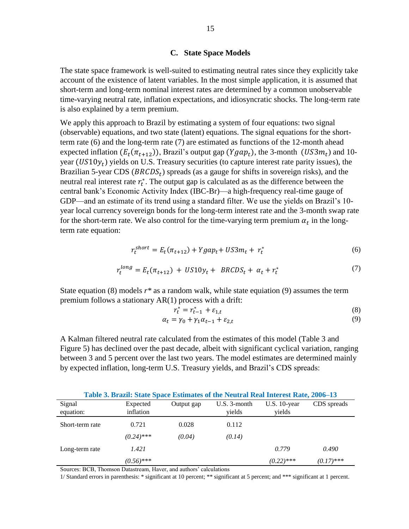#### **C. State Space Models**

The state space framework is well-suited to estimating neutral rates since they explicitly take account of the existence of latent variables. In the most simple application, it is assumed that short-term and long-term nominal interest rates are determined by a common unobservable time-varying neutral rate, inflation expectations, and idiosyncratic shocks. The long-term rate is also explained by a term premium.

We apply this approach to Brazil by estimating a system of four equations: two signal (observable) equations, and two state (latent) equations. The signal equations for the shortterm rate (6) and the long-term rate (7) are estimated as functions of the 12-month ahead expected inflation  $(E_t(\pi_{t+12}))$ , Brazil's output gap  $(Ygap_t)$ , the 3-month  $(US3m_t)$  and 10year  $(US10y_t)$  yields on U.S. Treasury securities (to capture interest rate parity issues), the Brazilian 5-year CDS ( $BRCDS_t$ ) spreads (as a gauge for shifts in sovereign risks), and the neutral real interest rate  $r_t^*$ . The output gap is calculated as as the difference between the central bank's Economic Activity Index (IBC-Br)—a high-frequency real-time gauge of GDP—and an estimate of its trend using a standard filter. We use the yields on Brazil's 10 year local currency sovereign bonds for the long-term interest rate and the 3-month swap rate for the short-term rate. We also control for the time-varying term premium  $\alpha_t$  in the longterm rate equation:

$$
r_t^{short} = E_t(\pi_{t+12}) + Ygap_t + US3m_t + r_t^* \tag{6}
$$

$$
r_t^{long} = E_t(\pi_{t+12}) + US10y_t + BRCDS_t + \alpha_t + r_t^*
$$
\n(7)

State equation (8) models  $r^*$  as a random walk, while state equiation (9) assumes the term premium follows a stationary AR(1) process with a drift:

$$
r_t^* = r_{t-1}^* + \varepsilon_{1,t} \tag{8}
$$

$$
\alpha_t = \gamma_0 + \gamma_1 \alpha_{t-1} + \varepsilon_{2,t} \tag{9}
$$

A Kalman filtered neutral rate calculated from the estimates of this model (Table 3 and Figure 5) has declined over the past decade, albeit with significant cyclical variation, ranging between 3 and 5 percent over the last two years. The model estimates are determined mainly by expected inflation, long-term U.S. Treasury yields, and Brazil's CDS spreads:

|                     | Table 3. Brazil: State Space Estimates of the Neutral Real Interest Rate, 2006–13 |            |                           |                          |              |
|---------------------|-----------------------------------------------------------------------------------|------------|---------------------------|--------------------------|--------------|
| Signal<br>equation: | Expected<br>inflation                                                             | Output gap | $U.S. 3$ -month<br>vields | $U.S. 10-year$<br>yields | CDS spreads  |
| Short-term rate     | 0.721                                                                             | 0.028      | 0.112                     |                          |              |
|                     | $(0.24)$ ***                                                                      | (0.04)     | (0.14)                    |                          |              |
| Long-term rate      | 1.421                                                                             |            |                           | 0.779                    | 0.490        |
|                     | $(0.56)$ ***                                                                      |            |                           | $(0.22)$ ***             | $(0.17)$ *** |

Sources: BCB, Thomson Datastream, Haver, and authors' calculations

1/ Standard errors in parenthesis: \* significant at 10 percent; \*\* significant at 5 percent; and \*\*\* significant at 1 percent.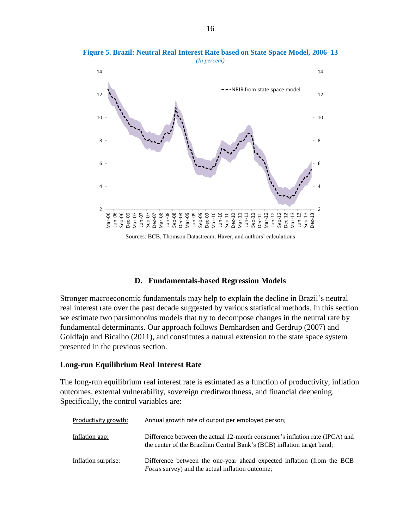

**Figure 5. Brazil: Neutral Real Interest Rate based on State Space Model, 2006–13** *(In percent)*

Sources: BCB, Thomson Datastream, Haver, and authors' calculations

#### **D. Fundamentals-based Regression Models**

Stronger macroeconomic fundamentals may help to explain the decline in Brazil's neutral real interest rate over the past decade suggested by various statistical methods. In this section we estimate two parsimonoius models that try to decompose changes in the neutral rate by fundamental determinants. Our approach follows Bernhardsen and Gerdrup (2007) and Goldfajn and Bicalho (2011), and constitutes a natural extension to the state space system presented in the previous section.

#### **Long-run Equilibrium Real Interest Rate**

The long-run equilibrium real interest rate is estimated as a function of productivity, inflation outcomes, external vulnerability, sovereign creditworthness, and financial deepening. Specifically, the control variables are:

| Productivity growth: | Annual growth rate of output per employed person;                                                                                                      |
|----------------------|--------------------------------------------------------------------------------------------------------------------------------------------------------|
| Inflation gap:       | Difference between the actual 12-month consumer's inflation rate (IPCA) and<br>the center of the Brazilian Central Bank's (BCB) inflation target band; |
| Inflation surprise:  | Difference between the one-year ahead expected inflation (from the BCB<br><i>Focus</i> survey) and the actual inflation outcome;                       |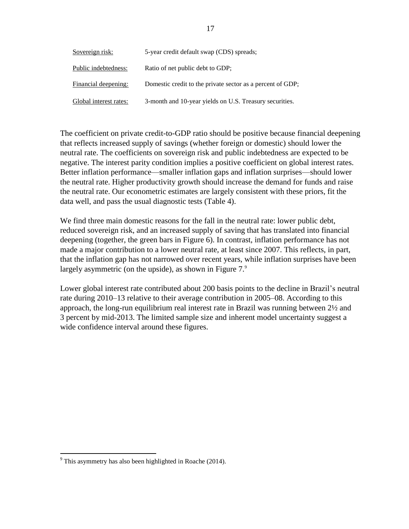| Sovereign risk:        | 5-year credit default swap (CDS) spreads;                  |
|------------------------|------------------------------------------------------------|
| Public indebtedness:   | Ratio of net public debt to GDP;                           |
| Financial deepening:   | Domestic credit to the private sector as a percent of GDP; |
| Global interest rates: | 3-month and 10-year yields on U.S. Treasury securities.    |

The coefficient on private credit-to-GDP ratio should be positive because financial deepening that reflects increased supply of savings (whether foreign or domestic) should lower the neutral rate. The coefficients on sovereign risk and public indebtedness are expected to be negative. The interest parity condition implies a positive coefficient on global interest rates. Better inflation performance—smaller inflation gaps and inflation surprises—should lower the neutral rate. Higher productivity growth should increase the demand for funds and raise the neutral rate. Our econometric estimates are largely consistent with these priors, fit the data well, and pass the usual diagnostic tests (Table 4).

We find three main domestic reasons for the fall in the neutral rate: lower public debt, reduced sovereign risk, and an increased supply of saving that has translated into financial deepening (together, the green bars in Figure 6). In contrast, inflation performance has not made a major contribution to a lower neutral rate, at least since 2007. This reflects, in part, that the inflation gap has not narrowed over recent years, while inflation surprises have been largely asymmetric (on the upside), as shown in Figure  $7<sup>9</sup>$ 

Lower global interest rate contributed about 200 basis points to the decline in Brazil's neutral rate during 2010–13 relative to their average contribution in 2005–08. According to this approach, the long-run equilibrium real interest rate in Brazil was running between 2½ and 3 percent by mid-2013. The limited sample size and inherent model uncertainty suggest a wide confidence interval around these figures.

 $\overline{a}$  $9$ <sup>9</sup> This asymmetry has also been highlighted in Roache (2014).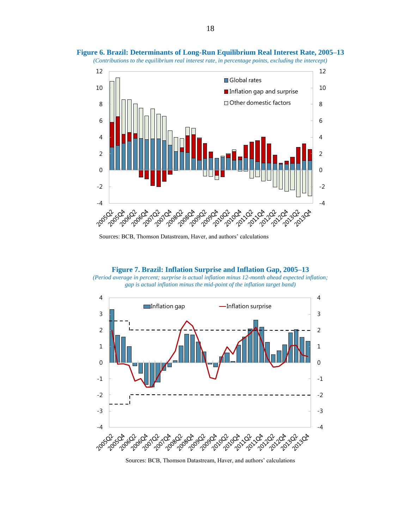

**Figure 6. Brazil: Determinants of Long-Run Equilibrium Real Interest Rate, 2005–13** *(Contributions to the equilibrium real interest rate, in percentage points, excluding the intercept)*

**Figure 7. Brazil: Inflation Surprise and Inflation Gap, 2005–13** *(Period average in percent; surprise is actual inflation minus 12-month ahead expected inflation; gap is actual inflation minus the mid-point of the inflation target band)*



Sources: BCB, Thomson Datastream, Haver, and authors' calculations

Sources: BCB, Thomson Datastream, Haver, and authors' calculations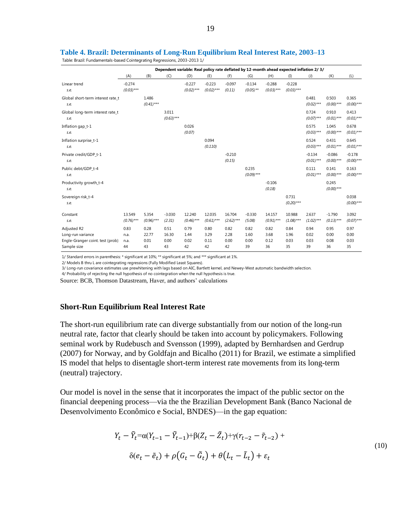|                                                                                     | Dependent variable: Real policy rate deflated by 12-month ahead expected inflation 2/3/ |                             |                             |                            |                            |                            |                            |                            |                            |                            |                            |                            |
|-------------------------------------------------------------------------------------|-----------------------------------------------------------------------------------------|-----------------------------|-----------------------------|----------------------------|----------------------------|----------------------------|----------------------------|----------------------------|----------------------------|----------------------------|----------------------------|----------------------------|
|                                                                                     | (A)                                                                                     | (B)                         | (C)                         | (D)                        | (E)                        | (F)                        | (G)                        | (H)                        | (1)                        | $\left( J\right)$          | (K)                        | (L)                        |
| Linear trend<br>s.e.                                                                | $-0.274$<br>$(0.03)$ ***                                                                |                             |                             | $-0.227$<br>$(0.02)$ ***   | $-0.223$<br>$(0.02)$ ***   | $-0.097$<br>(0.11)         | $-0.134$<br>$(0.05)$ **    | $-0.288$<br>$(0.03)$ ***   | $-0.228$<br>$(0.03)***$    |                            |                            |                            |
| Global short-term interest rate t<br>s.e.                                           |                                                                                         | 1.486<br>$(0.41)$ ***       |                             |                            |                            |                            |                            |                            |                            | 0.481<br>$(0.02)$ ***      | 0.503<br>$(0.00)$ ***      | 0.365<br>$(0.00)$ ***      |
| Global long-term interest rate_t<br>s.e.                                            |                                                                                         |                             | 3.011<br>$(0.63)***$        |                            |                            |                            |                            |                            |                            | 0.724<br>$(0.07)$ ***      | 0.910<br>$(0.01)$ ***      | 0.413<br>$(0.01)$ ***      |
| Inflation gap_t-1<br>s.e.                                                           |                                                                                         |                             |                             | 0.026<br>(0.07)            |                            |                            |                            |                            |                            | 0.575<br>$(0.03)$ ***      | 1.045<br>$(0.00)$ ***      | 0.678<br>$(0.01)$ ***      |
| Inflation surprise_t-1<br>s.e.                                                      |                                                                                         |                             |                             |                            | 0.094<br>(0.110)           |                            |                            |                            |                            | 0.524<br>$(0.03)***$       | 0.431<br>$(0.01)$ ***      | 0.645<br>$(0.01)$ ***      |
| Private credit/GDP t-1<br>s.e.                                                      |                                                                                         |                             |                             |                            |                            | $-0.210$<br>(0.15)         |                            |                            |                            | $-0.134$<br>$(0.01)$ ***   | $-0.086$<br>$(0.00)$ ***   | $-0.178$<br>$(0.00)$ ***   |
| Public debt/GDP t-4<br>s.e.                                                         |                                                                                         |                             |                             |                            |                            |                            | 0.235<br>$(0.09)$ ***      |                            |                            | 0.111<br>$(0.01)$ ***      | 0.141<br>$(0.00)$ ***      | 0.163<br>$(0.00)$ ***      |
| Productivity growth_t-4<br>s.e.                                                     |                                                                                         |                             |                             |                            |                            |                            |                            | $-0.106$<br>(0.18)         |                            |                            | 0.245<br>$(0.00)$ ***      |                            |
| Sovereign risk_t-4<br>s.e.                                                          |                                                                                         |                             |                             |                            |                            |                            |                            |                            | 0.731<br>$(0.20)$ ***      |                            |                            | 0.038<br>$(0.00)$ ***      |
| Constant<br>s.e.                                                                    | 13.549<br>$(0.76)$ ***                                                                  | 5.354<br>$(0.96)$ ***       | $-3.030$<br>(2.31)          | 12.240<br>$(0.46)$ ***     | 12.035<br>$(0.61)$ ***     | 16.704<br>$(2.62)***$      | $-0.330$<br>(5.08)         | 14.157<br>$(0.91)$ ***     | 10.988<br>$(1.08)$ ***     | 2.637<br>$(1.02)***$       | $-1.790$<br>$(0.13)***$    | 3.092<br>$(0.07)$ ***      |
| Adjusted R2<br>Long-run variance<br>Engle-Granger coint. test (prob)<br>Sample size | 0.83<br>n.a.<br>n.a.<br>44                                                              | 0.28<br>22.77<br>0.01<br>43 | 0.51<br>16.30<br>0.00<br>43 | 0.79<br>1.44<br>0.02<br>42 | 0.80<br>3.29<br>0.11<br>42 | 0.82<br>2.28<br>0.00<br>42 | 0.82<br>1.60<br>0.00<br>39 | 0.82<br>3.68<br>0.12<br>36 | 0.84<br>1.96<br>0.03<br>35 | 0.94<br>0.02<br>0.03<br>39 | 0.95<br>0.00<br>0.08<br>36 | 0.97<br>0.00<br>0.03<br>35 |

Table: Brazil: Fundamentals-based Cointegrating Regressions, 2003-2013 1/

1/ Standard errors in parenthesis: \* significant at 10%; \*\* significant at 5%; and \*\*\* significant at 1%.

2/ Models B thru L are cointegrating regressions (Fully Modified Least Squares).

3/ Long-run covariance estimates use prewhitening with lags based on AIC, Bartlett kernel, and Newey-West automatic bandwidth selection.

4/ Probability of rejecting the null hypothesis of no cointegration when the null hypothesis is true.

Source: BCB, Thomson Datastream, Haver, and authors' calculations

#### **Short-Run Equilibrium Real Interest Rate**

The short-run equilibrium rate can diverge substantially from our notion of the long-run neutral rate, factor that clearly should be taken into account by policymakers. Following seminal work by Rudebusch and Svensson (1999), adapted by Bernhardsen and Gerdrup (2007) for Norway, and by Goldfajn and Bicalho (2011) for Brazil, we estimate a simplified IS model that helps to disentagle short-term interest rate movements from its long-term (neutral) trajectory.

Our model is novel in the sense that it incorporates the impact of the public sector on the financial deepening process—via the the Brazilian Development Bank (Banco Nacional de Desenvolvimento Econômico e Social, BNDES)—in the gap equation:

$$
Y_t - \tilde{Y}_t = \alpha (Y_{t-1} - \tilde{Y}_{t-1}) + \beta (Z_t - \tilde{Z}_t) + \gamma (r_{t-2} - \tilde{r}_{t-2}) +
$$
  

$$
\delta(e_t - \tilde{e}_t) + \rho (G_t - \tilde{G}_t) + \theta (L_t - \tilde{L}_t) + \varepsilon_t
$$
 (10)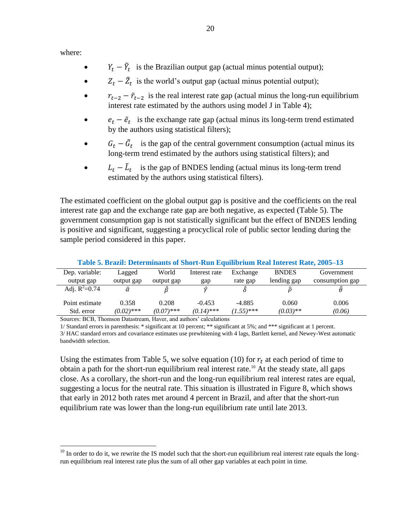where:

 $\overline{a}$ 

- $Y_t \tilde{Y}_t$  is the Brazilian output gap (actual minus potential output);
- $Z_t \tilde{Z}_t$  is the world's output gap (actual minus potential output);
- $r_{t-2} \tilde{r}_{t-2}$  is the real interest rate gap (actual minus the long-run equilibrium interest rate estimated by the authors using model J in Table 4);
- $\cdot$   $e_t \tilde{e}_t$  is the exchange rate gap (actual minus its long-term trend estimated by the authors using statistical filters);
- $G_t \tilde{G}_t$  is the gap of the central government consumption (actual minus its long-term trend estimated by the authors using statistical filters); and
- $L_t \tilde{L}_t$  is the gap of BNDES lending (actual minus its long-term trend estimated by the authors using statistical filters).

The estimated coefficient on the global output gap is positive and the coefficients on the real interest rate gap and the exchange rate gap are both negative, as expected (Table 5). The government consumption gap is not statistically significant but the effect of BNDES lending is positive and significant, suggesting a procyclical role of public sector lending during the sample period considered in this paper.

| Table 5. Brazil: Determinants of Short-Run Equilibrium Real Interest Rate, 2005–13 |              |              |               |              |              |                 |  |  |  |
|------------------------------------------------------------------------------------|--------------|--------------|---------------|--------------|--------------|-----------------|--|--|--|
| Dep. variable:                                                                     | Lagged       | World        | Interest rate | Exchange     | <b>BNDES</b> | Government      |  |  |  |
| output gap                                                                         | output gap   | output gap   | gap           | rate gap     | lending gap  | consumption gap |  |  |  |
| Adj. $R^2=0.74$                                                                    | â            |              | û             |              |              |                 |  |  |  |
| Point estimate                                                                     | 0.358        | 0.208        | $-0.453$      | $-4.885$     | 0.060        | 0.006           |  |  |  |
| Std. error                                                                         | $(0.02)$ *** | $(0.07)$ *** | $(0.14)$ ***  | $(1.55)$ *** | $(0.03)$ **  | (0.06)          |  |  |  |

Sources: BCB, Thomson Datastream, Haver, and authors' calculations

1/ Standard errors in parenthesis: \* significant at 10 percent; \*\* significant at 5%; and \*\*\* significant at 1 percent. 3/ HAC standard errors and covariance estimates use prewhitening with 4 lags, Bartlett kernel, and Newey-West automatic bandwidth selection.

Using the estimates from Table 5, we solve equation (10) for  $r_t$  at each period of time to obtain a path for the short-run equilibrium real interest rate.<sup>10</sup> At the steady state, all gaps close. As a corollary, the short-run and the long-run equilibrium real interest rates are equal, suggesting a locus for the neutral rate. This situation is illustrated in Figure 8, which shows that early in 2012 both rates met around 4 percent in Brazil, and after that the short-run equilibrium rate was lower than the long-run equilibrium rate until late 2013.

 $10$  In order to do it, we rewrite the IS model such that the short-run equilibrium real interest rate equals the longrun equilibrium real interest rate plus the sum of all other gap variables at each point in time.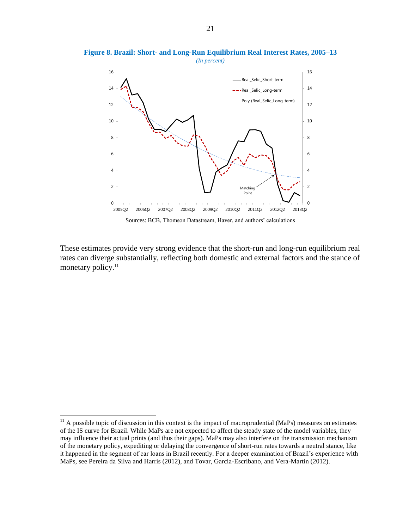

**Figure 8. Brazil: Short- and Long-Run Equilibrium Real Interest Rates, 2005–13**

Sources: BCB, Thomson Datastream, Haver, and authors' calculations

These estimates provide very strong evidence that the short-run and long-run equilibrium real rates can diverge substantially, reflecting both domestic and external factors and the stance of monetary policy. 11

 $11$  A possible topic of discussion in this context is the impact of macroprudential (MaPs) measures on estimates of the IS curve for Brazil. While MaPs are not expected to affect the steady state of the model variables, they may influence their actual prints (and thus their gaps). MaPs may also interfere on the transmission mechanism of the monetary policy, expediting or delaying the convergence of short-run rates towards a neutral stance, like it happened in the segment of car loans in Brazil recently. For a deeper examination of Brazil's experience with MaPs, see Pereira da Silva and Harris (2012), and Tovar, Garcia-Escribano, and Vera-Martin (2012).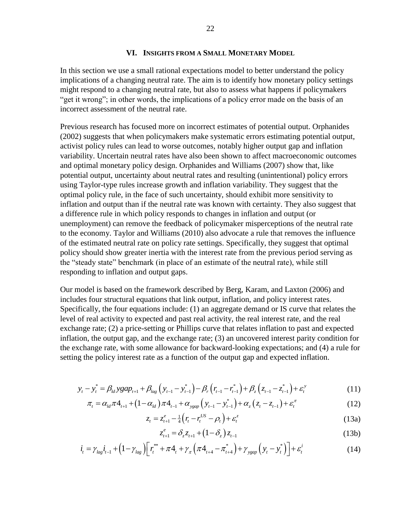#### **VI. INSIGHTS FROM A SMALL MONETARY MODEL**

In this section we use a small rational expectations model to better understand the policy implications of a changing neutral rate. The aim is to identify how monetary policy settings might respond to a changing neutral rate, but also to assess what happens if policymakers "get it wrong"; in other words, the implications of a policy error made on the basis of an incorrect assessment of the neutral rate.

Previous research has focused more on incorrect estimates of potential output. Orphanides (2002) suggests that when policymakers make systematic errors estimating potential output, activist policy rules can lead to worse outcomes, notably higher output gap and inflation variability. Uncertain neutral rates have also been shown to affect macroeconomic outcomes and optimal monetary policy design. Orphanides and Williams (2007) show that, like potential output, uncertainty about neutral rates and resulting (unintentional) policy errors using Taylor-type rules increase growth and inflation variability. They suggest that the optimal policy rule, in the face of such uncertainty, should exhibit more sensitivity to inflation and output than if the neutral rate was known with certainty. They also suggest that a difference rule in which policy responds to changes in inflation and output (or unemployment) can remove the feedback of policymaker misperceptions of the neutral rate to the economy. Taylor and Williams (2010) also advocate a rule that removes the influence of the estimated neutral rate on policy rate settings. Specifically, they suggest that optimal policy should show greater inertia with the interest rate from the previous period serving as the "steady state" benchmark (in place of an estimate of the neutral rate), while still responding to inflation and output gaps.

Our model is based on the framework described by Berg, Karam, and Laxton (2006) and includes four structural equations that link output, inflation, and policy interest rates. Specifically, the four equations include: (1) an aggregate demand or IS curve that relates the level of real activity to expected and past real activity, the real interest rate, and the real exchange rate; (2) a price-setting or Phillips curve that relates inflation to past and expected inflation, the output gap, and the exchange rate; (3) an uncovered interest parity condition for the exchange rate, with some allowance for backward-looking expectations; and (4) a rule for setting the policy interest rate as a function of the output gap and expected inflation.

$$
y_{t} - y_{t}^{*} = \beta_{ld} y g a p_{t+1} + \beta_{lag} \left( y_{t-1} - y_{t-1}^{*} \right) - \beta_{r} \left( r_{t-1} - r_{t-1}^{*} \right) + \beta_{z} \left( z_{t-1} - z_{t-1}^{*} \right) + \varepsilon_{t}^{y}
$$
\n
$$
\pi_{t} = \alpha_{ld} \pi 4_{t+1} + (1 - \alpha_{ld}) \pi 4_{t-1} + \alpha_{y g a p} \left( y_{t-1} - y_{t-1}^{*} \right) + \alpha_{z} \left( z_{t} - z_{t-1} \right) + \varepsilon_{t}^{x}
$$
\n(12)

$$
\pi_{t} = \alpha_{ld} \pi 4_{t+1} + (1 - \alpha_{ld}) \pi 4_{t-1} + \alpha_{\text{ygap}} \left( y_{t-1} - y_{t-1}^{*} \right) + \alpha_{z} \left( z_{t} - z_{t-1} \right) + \varepsilon_{t}^{\pi}
$$
\n(12)

$$
z_t = z_{t+1}^e - \frac{1}{4} \left( r_t - r_t^{US} - \rho_t \right) + \varepsilon_t^z
$$
\n(13a)

$$
z_{t+1}^{e} = \delta_{z} z_{t+1} + (1 - \delta_{z}) z_{t-1}
$$
\n
$$
z_{t+1}^{*} + \pi A_{t+1} \gamma_{-} (\pi A_{t+1} - \pi_{t+1}^{*}) + \gamma_{\text{max}} (\gamma_{-} - \gamma_{t}^{*}) + \varepsilon_{t}^{i}
$$
\n(13b)

$$
z_{t} = z_{t+1} - \frac{1}{4} (r_{t} - r_{t} - \rho_{t}) + \varepsilon_{t}
$$
\n
$$
z_{t+1}^{e} = \delta_{z} z_{t+1} + (1 - \delta_{z}) z_{t-1}
$$
\n
$$
i_{t} = \gamma_{lag} i_{t-1} + (1 - \gamma_{lag}) \Big[ r_{t}^{**} + \pi A_{t} + \gamma_{\pi} \left( \pi A_{t+4} - \pi_{t+4}^{*} \right) + \gamma_{\text{ygap}} \left( y_{t} - y_{t}^{*} \right) \Big] + \varepsilon_{t}^{i}
$$
\n
$$
(14)
$$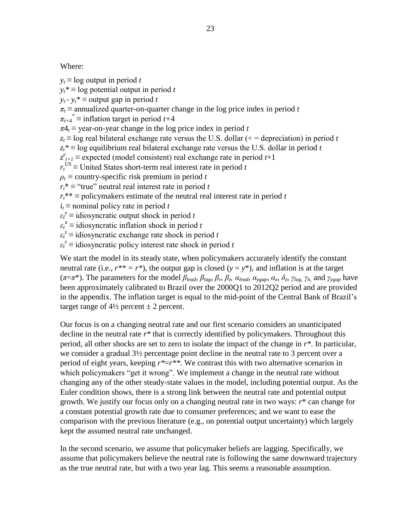Where:

 $y_t \equiv \log$  output in period *t* 

 $y_t^*$  ≡ log potential output in period *t* 

*y*<sup>*t*</sup>  $\cdot$  *y*<sup>*t*</sup>  $\equiv$  output gap in period *t* 

 $\pi_t$  ≡ annualized quarter-on-quarter change in the log price index in period *t* 

 $\pi$ <sub>*t*+4</sub><sup>\*</sup>  $\equiv$  inflation target in period *t*+4

 $\pi A_t \equiv$  year-on-year change in the log price index in period *t* 

 $z_t$  ≡ log real bilateral exchange rate versus the U.S. dollar (+ = depreciation) in period *t* 

 $z_t^*$  ≡ log equilibrium real bilateral exchange rate versus the U.S. dollar in period *t* 

 $z_{t+1}^e$  ≡ expected (model consistent) real exchange rate in period *t*+1

 $r_t$ <sup>*US*</sup> ≡ United States short-term real interest rate in period *t* 

 $\rho_t$   $\equiv$  country-specific risk premium in period *t* 

 $r_t^* \equiv$  "true" neutral real interest rate in period *t* 

 $r_t^{**}$  ≡ policymakers estimate of the neutral real interest rate in period *t* 

 $i_t$  ≡ nominal policy rate in period *t* 

 $\varepsilon_t^y$  = idiosyncratic output shock in period *t* 

 $\varepsilon_t^{\pi} \equiv$  idiosyncratic inflation shock in period *t* 

 $\varepsilon_t^z$  = idiosyncratic exchange rate shock in period *t* 

 $\varepsilon_t^z$  = idiosyncratic policy interest rate shock in period *t* 

We start the model in its steady state, when policymakers accurately identify the constant neutral rate (i.e.,  $r^{**} = r^*$ ), the output gap is closed ( $y = y^*$ ), and inflation is at the target  $(\pi = \pi^*)$ . The parameters for the model  $\beta_{lead}$ ,  $\beta_{lag}$ ,  $\beta_r$ ,  $\beta_z$ ,  $\alpha_{lead}$ ,  $\alpha_{ygap}$ ,  $\alpha_z$ ,  $\delta_z$ ,  $\gamma_{lag}$ ,  $\gamma_{\pi}$ , and  $\gamma_{ygap}$  have been approximately calibrated to Brazil over the 2000Q1 to 2012Q2 period and are provided in the appendix. The inflation target is equal to the mid-point of the Central Bank of Brazil's target range of  $4\frac{1}{2}$  percent  $\pm 2$  percent.

Our focus is on a changing neutral rate and our first scenario considers an unanticipated decline in the neutral rate *r\** that is correctly identified by policymakers. Throughout this period, all other shocks are set to zero to isolate the impact of the change in *r\**. In particular, we consider a gradual 3½ percentage point decline in the neutral rate to 3 percent over a period of eight years, keeping *r\**=*r\*\**. We contrast this with two alternative scenarios in which policymakers "get it wrong". We implement a change in the neutral rate without changing any of the other steady-state values in the model, including potential output. As the Euler condition shows, there is a strong link between the neutral rate and potential output growth. We justify our focus only on a changing neutral rate in two ways: *r*\* can change for a constant potential growth rate due to consumer preferences; and we want to ease the comparison with the previous literature (e.g., on potential output uncertainty) which largely kept the assumed neutral rate unchanged.

In the second scenario, we assume that policymaker beliefs are lagging. Specifically, we assume that policymakers believe the neutral rate is following the same downward trajectory as the true neutral rate, but with a two year lag. This seems a reasonable assumption.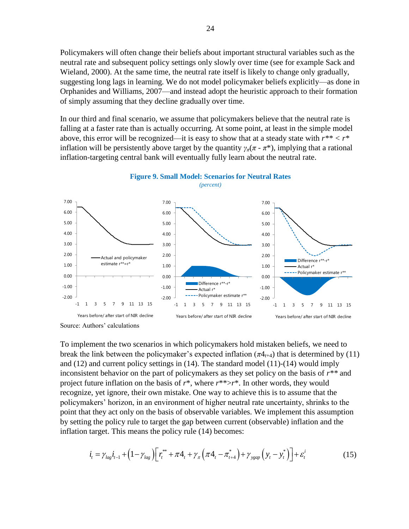Policymakers will often change their beliefs about important structural variables such as the neutral rate and subsequent policy settings only slowly over time (see for example Sack and Wieland, 2000). At the same time, the neutral rate itself is likely to change only gradually, suggesting long lags in learning. We do not model policymaker beliefs explicitly—as done in Orphanides and Williams, 2007—and instead adopt the heuristic approach to their formation of simply assuming that they decline gradually over time.

In our third and final scenario, we assume that policymakers believe that the neutral rate is falling at a faster rate than is actually occurring. At some point, at least in the simple model above, this error will be recognized—it is easy to show that at a steady state with *r\*\* < r\** inflation will be persistently above target by the quantity  $\gamma_{\pi}(\pi - \pi^*)$ , implying that a rational inflation-targeting central bank will eventually fully learn about the neutral rate.





To implement the two scenarios in which policymakers hold mistaken beliefs, we need to break the link between the policymaker's expected inflation  $(\pi 4_{t+4})$  that is determined by (11) and (12) and current policy settings in (14). The standard model (11)-(14) would imply inconsistent behavior on the part of policymakers as they set policy on the basis of *r\*\** and project future inflation on the basis of *r*\*, where *r*\*\*>*r*\*. In other words, they would recognize, yet ignore, their own mistake. One way to achieve this is to assume that the policymakers' horizon, in an environment of higher neutral rate uncertainty, shrinks to the point that they act only on the basis of observable variables. We implement this assumption by setting the policy rule to target the gap between current (observable) inflation and the

inflation target. This means the policy rule (14) becomes:  
\n
$$
i_{t} = \gamma_{lag} i_{t-1} + (1 - \gamma_{lag}) \Big[ r_t^{**} + \pi A_t + \gamma_{\pi} \left( \pi A_t - \pi_{t+4}^{*} \right) + \gamma_{ygap} \left( y_t - y_t^{*} \right) \Big] + \varepsilon_t^{i}
$$
\n(15)

Source: Authors' calculations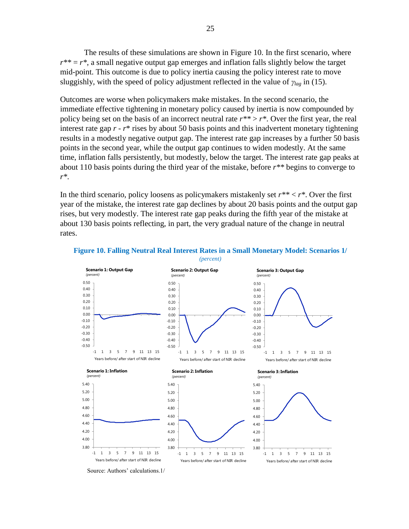The results of these simulations are shown in Figure 10. In the first scenario, where  $r^{**} = r^*$ , a small negative output gap emerges and inflation falls slightly below the target mid-point. This outcome is due to policy inertia causing the policy interest rate to move sluggishly, with the speed of policy adjustment reflected in the value of *γlag* in (15).

Outcomes are worse when policymakers make mistakes. In the second scenario, the immediate effective tightening in monetary policy caused by inertia is now compounded by policy being set on the basis of an incorrect neutral rate  $r^{**} > r^*$ . Over the first year, the real interest rate gap *r* - *r*\* rises by about 50 basis points and this inadvertent monetary tightening results in a modestly negative output gap. The interest rate gap increases by a further 50 basis points in the second year, while the output gap continues to widen modestly. At the same time, inflation falls persistently, but modestly, below the target. The interest rate gap peaks at about 110 basis points during the third year of the mistake, before *r\*\** begins to converge to *r\**.

In the third scenario, policy loosens as policymakers mistakenly set *r\*\** < *r\**. Over the first year of the mistake, the interest rate gap declines by about 20 basis points and the output gap rises, but very modestly. The interest rate gap peaks during the fifth year of the mistake at about 130 basis points reflecting, in part, the very gradual nature of the change in neutral rates.



#### **Figure 10. Falling Neutral Real Interest Rates in a Small Monetary Model: Scenarios 1/** *(percent)*

Source: Authors' calculations.1/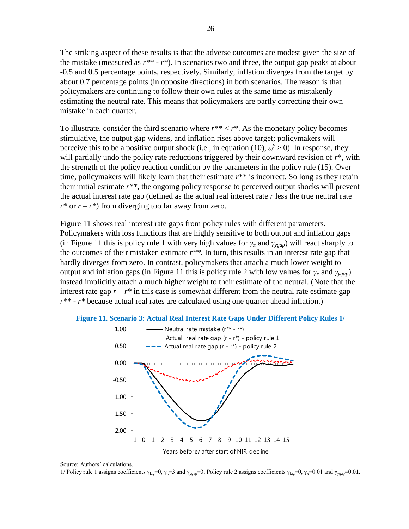The striking aspect of these results is that the adverse outcomes are modest given the size of the mistake (measured as *r\**\* - *r\**). In scenarios two and three, the output gap peaks at about -0.5 and 0.5 percentage points, respectively. Similarly, inflation diverges from the target by about 0.7 percentage points (in opposite directions) in both scenarios. The reason is that policymakers are continuing to follow their own rules at the same time as mistakenly estimating the neutral rate. This means that policymakers are partly correcting their own mistake in each quarter.

To illustrate, consider the third scenario where  $r^{**} < r^*$ . As the monetary policy becomes stimulative, the output gap widens, and inflation rises above target; policymakers will perceive this to be a positive output shock (i.e., in equation (10),  $\varepsilon_t^y > 0$ ). In response, they will partially undo the policy rate reductions triggered by their downward revision of *r*\*, with the strength of the policy reaction condition by the parameters in the policy rule (15). Over time, policymakers will likely learn that their estimate  $r^{**}$  is incorrect. So long as they retain their initial estimate *r\*\**, the ongoing policy response to perceived output shocks will prevent the actual interest rate gap (defined as the actual real interest rate *r* less the true neutral rate  $r^*$  or  $r - r^*$ ) from diverging too far away from zero.

Figure 11 shows real interest rate gaps from policy rules with different parameters. Policymakers with loss functions that are highly sensitive to both output and inflation gaps (in Figure 11 this is policy rule 1 with very high values for  $\gamma_{\pi}$  and  $\gamma_{\gamma\gamma}$  will react sharply to the outcomes of their mistaken estimate *r\*\**. In turn, this results in an interest rate gap that hardly diverges from zero. In contrast, policymakers that attach a much lower weight to output and inflation gaps (in Figure 11 this is policy rule 2 with low values for  $\gamma_{\pi}$  and  $\gamma_{\text{vagn}}$ ) instead implicitly attach a much higher weight to their estimate of the neutral. (Note that the interest rate gap  $r - r^*$  in this case is somewhat different from the neutral rate estimate gap *r\*\** - *r\** because actual real rates are calculated using one quarter ahead inflation.) **Real Interest Rate Gaps: Scenario 3**



Source: Authors' calculations.

1/ Policy rule 1 assigns coefficients γ<sub>lag</sub>=0, γ<sub>π</sub>=3 and γ<sub>ygap</sub>=3. Policy rule 2 assigns coefficients γ<sub>lag</sub>=0, γ<sub>π</sub>=0.01 and γ<sub>ygap</sub>=0.01.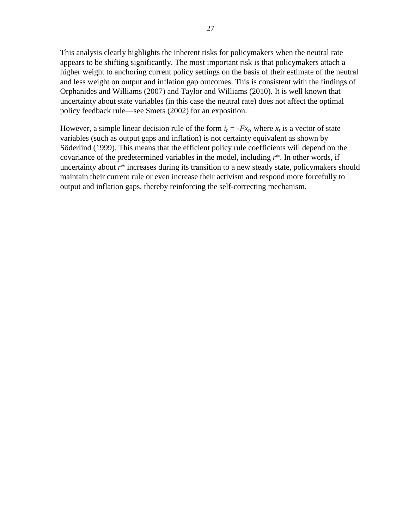This analysis clearly highlights the inherent risks for policymakers when the neutral rate appears to be shifting significantly. The most important risk is that policymakers attach a higher weight to anchoring current policy settings on the basis of their estimate of the neutral and less weight on output and inflation gap outcomes. This is consistent with the findings of Orphanides and Williams (2007) and Taylor and Williams (2010). It is well known that uncertainty about state variables (in this case the neutral rate) does not affect the optimal policy feedback rule—see Smets (2002) for an exposition.

However, a simple linear decision rule of the form  $i_t = -Fx_t$ , where  $x_t$  is a vector of state variables (such as output gaps and inflation) is not certainty equivalent as shown by Söderlind (1999). This means that the efficient policy rule coefficients will depend on the covariance of the predetermined variables in the model, including *r*\*. In other words, if uncertainty about *r*\* increases during its transition to a new steady state, policymakers should maintain their current rule or even increase their activism and respond more forcefully to output and inflation gaps, thereby reinforcing the self-correcting mechanism.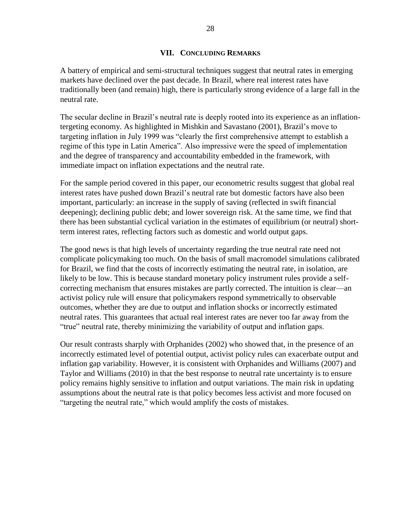#### **VII. CONCLUDING REMARKS**

A battery of empirical and semi-structural techniques suggest that neutral rates in emerging markets have declined over the past decade. In Brazil, where real interest rates have traditionally been (and remain) high, there is particularly strong evidence of a large fall in the neutral rate.

The secular decline in Brazil's neutral rate is deeply rooted into its experience as an inflationtergeting economy. As highlighted in Mishkin and Savastano (2001), Brazil's move to targeting inflation in July 1999 was "clearly the first comprehensive attempt to establish a regime of this type in Latin America". Also impressive were the speed of implementation and the degree of transparency and accountability embedded in the framework, with immediate impact on inflation expectations and the neutral rate.

For the sample period covered in this paper, our econometric results suggest that global real interest rates have pushed down Brazil's neutral rate but domestic factors have also been important, particularly: an increase in the supply of saving (reflected in swift financial deepening); declining public debt; and lower sovereign risk. At the same time, we find that there has been substantial cyclical variation in the estimates of equilibrium (or neutral) shortterm interest rates, reflecting factors such as domestic and world output gaps.

The good news is that high levels of uncertainty regarding the true neutral rate need not complicate policymaking too much. On the basis of small macromodel simulations calibrated for Brazil, we find that the costs of incorrectly estimating the neutral rate, in isolation, are likely to be low. This is because standard monetary policy instrument rules provide a selfcorrecting mechanism that ensures mistakes are partly corrected. The intuition is clear—an activist policy rule will ensure that policymakers respond symmetrically to observable outcomes, whether they are due to output and inflation shocks or incorrectly estimated neutral rates. This guarantees that actual real interest rates are never too far away from the "true" neutral rate, thereby minimizing the variability of output and inflation gaps.

Our result contrasts sharply with Orphanides (2002) who showed that, in the presence of an incorrectly estimated level of potential output, activist policy rules can exacerbate output and inflation gap variability. However, it is consistent with Orphanides and Williams (2007) and Taylor and Williams (2010) in that the best response to neutral rate uncertainty is to ensure policy remains highly sensitive to inflation and output variations. The main risk in updating assumptions about the neutral rate is that policy becomes less activist and more focused on "targeting the neutral rate," which would amplify the costs of mistakes.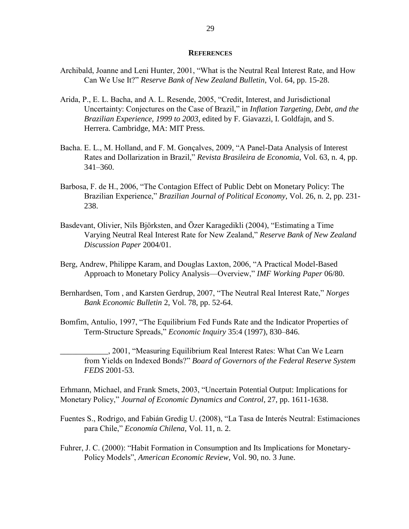#### **REFERENCES**

- Archibald, Joanne and Leni Hunter, 2001, "What is the Neutral Real Interest Rate, and How Can We Use It?" *Reserve Bank of New Zealand Bulletin*, Vol. 64, pp. 15-28.
- Arida, P., E. L. Bacha, and A. L. Resende, 2005, "Credit, Interest, and Jurisdictional Uncertainty: Conjectures on the Case of Brazil," in *Inflation Targeting, Debt, and the Brazilian Experience, 1999 to 2003*, edited by F. Giavazzi, I. Goldfajn, and S. Herrera. Cambridge, MA: MIT Press.
- Bacha. E. L., M. Holland, and F. M. Gonçalves, 2009, "A Panel-Data Analysis of Interest Rates and Dollarization in Brazil," *Revista Brasileira de Economia*, Vol. 63, n. 4, pp. 341–360.
- Barbosa, F. de H., 2006, "The Contagion Effect of Public Debt on Monetary Policy: The Brazilian Experience," *Brazilian Journal of Political Economy*, Vol. 26, n. 2, pp. 231- 238.
- Basdevant, Olivier, Nils Björksten, and Özer Karagedikli (2004), "Estimating a Time Varying Neutral Real Interest Rate for New Zealand," *Reserve Bank of New Zealand Discussion Paper* 2004/01.
- Berg, Andrew, Philippe Karam, and Douglas Laxton, 2006, "A Practical Model-Based Approach to Monetary Policy Analysis—Overview," *IMF Working Paper* 06/80.
- Bernhardsen, Tom , and Karsten Gerdrup, 2007, "The Neutral Real Interest Rate," *Norges Bank Economic Bulletin* 2, Vol. 78, pp. 52-64.
- Bomfim, Antulio, 1997, "The Equilibrium Fed Funds Rate and the Indicator Properties of Term-Structure Spreads," *Economic Inquiry* 35:4 (1997), 830–846.
- \_\_\_\_\_\_\_\_\_\_\_\_, 2001, "Measuring Equilibrium Real Interest Rates: What Can We Learn from Yields on Indexed Bonds?" *Board of Governors of the Federal Reserve System FEDS* 2001-53.

Erhmann, Michael, and Frank Smets, 2003, "Uncertain Potential Output: Implications for Monetary Policy," *Journal of Economic Dynamics and Control*, 27, pp. 1611-1638.

- Fuentes S., Rodrigo, and Fabián Gredig U. (2008), "La Tasa de Interés Neutral: Estimaciones para Chile," *Economía Chilena*, Vol. 11, n. 2.
- Fuhrer, J. C. (2000): "Habit Formation in Consumption and Its Implications for Monetary-Policy Models", *American Economic Review*, Vol. 90, no. 3 June.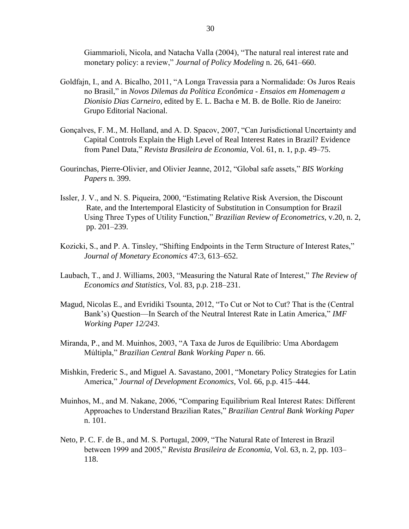Giammarioli, Nicola, and Natacha Valla (2004), "The natural real interest rate and monetary policy: a review," *Journal of Policy Modeling* n. 26, 641–660.

- Goldfajn, I., and A. Bicalho, 2011, "A Longa Travessia para a Normalidade: Os Juros Reais no Brasil," in *Novos Dilemas da Política Econômica - Ensaios em Homenagem a Dionisio Dias Carneiro*, edited by E. L. Bacha e M. B. de Bolle. Rio de Janeiro: Grupo Editorial Nacional.
- Gonçalves, F. M., M. Holland, and A. D. Spacov, 2007, "Can Jurisdictional Uncertainty and Capital Controls Explain the High Level of Real Interest Rates in Brazil? Evidence from Panel Data," *Revista Brasileira de Economia*, Vol. 61, n. 1, p.p. 49–75.
- Gourinchas, Pierre-Olivier, and Olivier Jeanne, 2012, "Global safe assets," *BIS Working Papers* n. 399.
- Issler, J. V., and N. S. Piqueira, 2000, "Estimating Relative Risk Aversion, the Discount Rate, and the Intertemporal Elasticity of Substitution in Consumption for Brazil Using Three Types of Utility Function," *Brazilian Review of Econometrics*, v.20, n. 2, pp. 201–239.
- Kozicki, S., and P. A. Tinsley, "Shifting Endpoints in the Term Structure of Interest Rates," *Journal of Monetary Economics* 47:3, 613–652.
- Laubach, T., and J. Williams, 2003, "Measuring the Natural Rate of Interest," *The Review of Economics and Statistics*, Vol. 83, p.p. 218–231.
- Magud, Nicolas E., and Evridiki Tsounta, 2012, "To Cut or Not to Cut? That is the (Central Bank's) Question—In Search of the Neutral Interest Rate in Latin America," *IMF Working Paper 12/243*.
- Miranda, P., and M. Muinhos, 2003, "A Taxa de Juros de Equilíbrio: Uma Abordagem Múltipla," *Brazilian Central Bank Working Paper* n. 66.
- Mishkin, Frederic S., and Miguel A. Savastano, 2001, "Monetary Policy Strategies for Latin America," *Journal of Development Economics,* Vol. 66, p.p. 415–444.
- Muinhos, M., and M. Nakane, 2006, "Comparing Equilibrium Real Interest Rates: Different Approaches to Understand Brazilian Rates," *Brazilian Central Bank Working Paper* n. 101.
- Neto, P. C. F. de B., and M. S. Portugal, 2009, "The Natural Rate of Interest in Brazil between 1999 and 2005," *Revista Brasileira de Economia*, Vol. 63, n. 2, pp. 103– 118.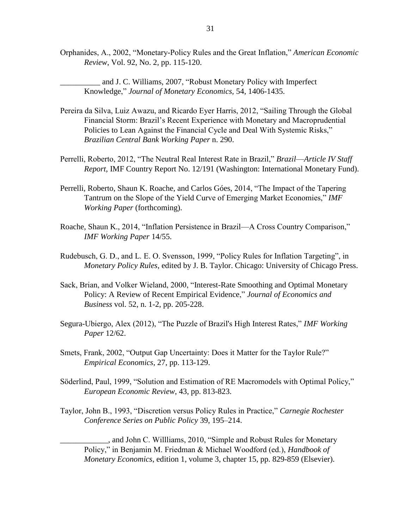Orphanides, A., 2002, "Monetary-Policy Rules and the Great Inflation," *American Economic Review*, Vol. 92, No. 2, pp. 115-120.

and J. C. Williams, 2007, "Robust Monetary Policy with Imperfect Knowledge," *Journal of Monetary Economics,* 54, 1406-1435.

- Pereira da Silva, Luiz Awazu, and Ricardo Eyer Harris, 2012, "Sailing Through the Global Financial Storm: Brazil's Recent Experience with Monetary and Macroprudential Policies to Lean Against the Financial Cycle and Deal With Systemic Risks," *Brazilian Central Bank Working Paper* n. 290.
- Perrelli, Roberto, 2012, "The Neutral Real Interest Rate in Brazil," *Brazil––Article IV Staff Report*, IMF Country Report No. 12/191 (Washington: International Monetary Fund).
- Perrelli, Roberto, Shaun K. Roache, and Carlos Góes, 2014, "The Impact of the Tapering Tantrum on the Slope of the Yield Curve of Emerging Market Economies," *IMF Working Paper* (forthcoming).
- Roache, Shaun K., 2014, "Inflation Persistence in Brazil—A Cross Country Comparison," *IMF Working Paper* 14/55.
- Rudebusch, G. D., and L. E. O. Svensson, 1999, "Policy Rules for Inflation Targeting", in *Monetary Policy Rules*, edited by J. B. Taylor. Chicago: University of Chicago Press.
- Sack, Brian, and Volker Wieland, 2000, "Interest-Rate Smoothing and Optimal Monetary Policy: A Review of Recent Empirical Evidence," *Journal of Economics and Business* vol. 52, n. 1-2, pp. 205-228.
- Segura-Ubiergo, Alex (2012), "The Puzzle of Brazil's High Interest Rates," *IMF Working Paper* 12/62.
- Smets, Frank, 2002, "Output Gap Uncertainty: Does it Matter for the Taylor Rule?" *Empirical Economics*, 27, pp. 113-129.
- Söderlind, Paul, 1999, "Solution and Estimation of RE Macromodels with Optimal Policy," *European Economic Review*, 43, pp. 813-823.
- Taylor, John B., 1993, "Discretion versus Policy Rules in Practice," *Carnegie Rochester Conference Series on Public Policy* 39, 195–214.

\_\_\_\_\_\_\_\_\_\_\_\_, and John C. Willliams, 2010, "Simple and Robust Rules for Monetary Policy," in Benjamin M. Friedman & Michael Woodford (ed.), *Handbook of Monetary Economics*, edition 1, volume 3, chapter 15, pp. 829-859 (Elsevier).